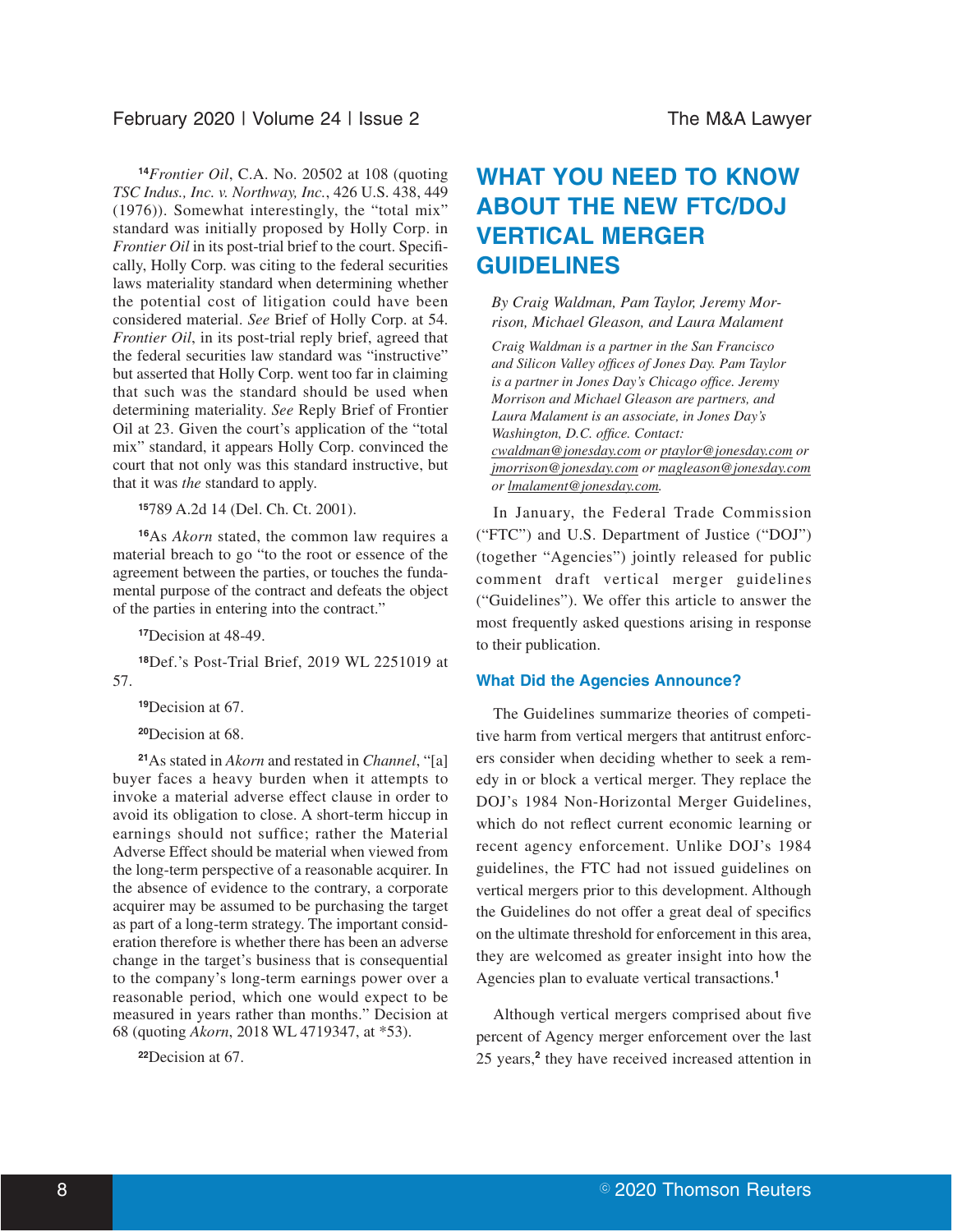**<sup>14</sup>***Frontier Oil*, C.A. No. 20502 at 108 (quoting *TSC Indus., Inc. v. Northway, Inc.*, 426 U.S. 438, 449 (1976)). Somewhat interestingly, the "total mix" standard was initially proposed by Holly Corp. in *Frontier Oil* in its post-trial brief to the court. Specifically, Holly Corp. was citing to the federal securities laws materiality standard when determining whether the potential cost of litigation could have been considered material. *See* Brief of Holly Corp. at 54. *Frontier Oil*, in its post-trial reply brief, agreed that the federal securities law standard was "instructive" but asserted that Holly Corp. went too far in claiming that such was the standard should be used when determining materiality. *See* Reply Brief of Frontier Oil at 23. Given the court's application of the "total mix" standard, it appears Holly Corp. convinced the court that not only was this standard instructive, but that it was *the* standard to apply.

**<sup>15</sup>**789 A.2d 14 (Del. Ch. Ct. 2001).

**<sup>16</sup>**As *Akorn* stated, the common law requires a material breach to go "to the root or essence of the agreement between the parties, or touches the fundamental purpose of the contract and defeats the object of the parties in entering into the contract."

**<sup>17</sup>**Decision at 48-49.

**<sup>18</sup>**Def.'s Post-Trial Brief, 2019 WL 2251019 at 57.

**<sup>19</sup>**Decision at 67.

**<sup>20</sup>**Decision at 68.

**<sup>21</sup>**As stated in *Akorn* and restated in *Channel*, "[a] buyer faces a heavy burden when it attempts to invoke a material adverse effect clause in order to avoid its obligation to close. A short-term hiccup in earnings should not suffice; rather the Material Adverse Effect should be material when viewed from the long-term perspective of a reasonable acquirer. In the absence of evidence to the contrary, a corporate acquirer may be assumed to be purchasing the target as part of a long-term strategy. The important consideration therefore is whether there has been an adverse change in the target's business that is consequential to the company's long-term earnings power over a reasonable period, which one would expect to be measured in years rather than months." Decision at 68 (quoting *Akorn*, 2018 WL 4719347, at \*53).

**<sup>22</sup>**Decision at 67.

# **WHAT YOU NEED TO KNOW ABOUT THE NEW FTC/DOJ VERTICAL MERGER GUIDELINES**

*By Craig Waldman, Pam Taylor, Jeremy Morrison, Michael Gleason, and Laura Malament*

*Craig Waldman is a partner in the San Francisco and Silicon Valley offices of Jones Day. Pam Taylor is a partner in Jones Day's Chicago office. Jeremy Morrison and Michael Gleason are partners, and Laura Malament is an associate, in Jones Day's Washington, D.C. office. Contact: cwaldman@jonesday.com or ptaylor@jonesday.com or jmorrison@jonesday.com or magleason@jonesday.com or lmalament@jonesday.com.*

In January, the Federal Trade Commission ("FTC") and U.S. Department of Justice ("DOJ") (together "Agencies") jointly released for public comment draft vertical merger guidelines ("Guidelines"). We offer this article to answer the most frequently asked questions arising in response to their publication.

#### **What Did the Agencies Announce?**

The Guidelines summarize theories of competitive harm from vertical mergers that antitrust enforcers consider when deciding whether to seek a remedy in or block a vertical merger. They replace the DOJ's 1984 Non-Horizontal Merger Guidelines, which do not reflect current economic learning or recent agency enforcement. Unlike DOJ's 1984 guidelines, the FTC had not issued guidelines on vertical mergers prior to this development. Although the Guidelines do not offer a great deal of specifics on the ultimate threshold for enforcement in this area, they are welcomed as greater insight into how the Agencies plan to evaluate vertical transactions.**<sup>1</sup>**

Although vertical mergers comprised about five percent of Agency merger enforcement over the last 25 years,**<sup>2</sup>** they have received increased attention in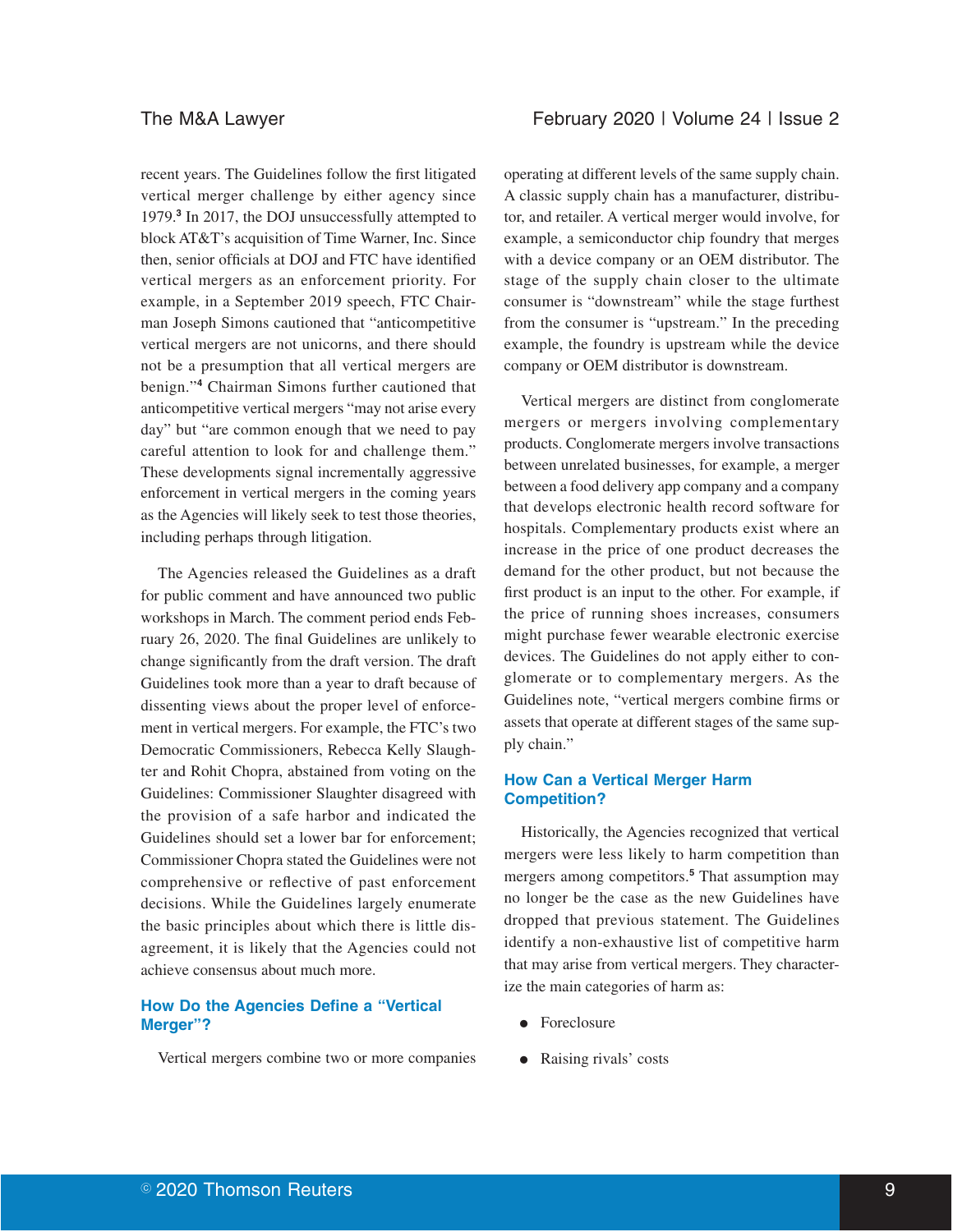recent years. The Guidelines follow the first litigated vertical merger challenge by either agency since 1979.**<sup>3</sup>** In 2017, the DOJ unsuccessfully attempted to block AT&T's acquisition of Time Warner, Inc. Since then, senior officials at DOJ and FTC have identified vertical mergers as an enforcement priority. For example, in a September 2019 speech, FTC Chairman Joseph Simons cautioned that "anticompetitive vertical mergers are not unicorns, and there should not be a presumption that all vertical mergers are benign."**<sup>4</sup>** Chairman Simons further cautioned that anticompetitive vertical mergers "may not arise every day" but "are common enough that we need to pay careful attention to look for and challenge them." These developments signal incrementally aggressive enforcement in vertical mergers in the coming years as the Agencies will likely seek to test those theories, including perhaps through litigation.

The Agencies released the Guidelines as a draft for public comment and have announced two public workshops in March. The comment period ends February 26, 2020. The final Guidelines are unlikely to change significantly from the draft version. The draft Guidelines took more than a year to draft because of dissenting views about the proper level of enforcement in vertical mergers. For example, the FTC's two Democratic Commissioners, Rebecca Kelly Slaughter and Rohit Chopra, abstained from voting on the Guidelines: Commissioner Slaughter disagreed with the provision of a safe harbor and indicated the Guidelines should set a lower bar for enforcement; Commissioner Chopra stated the Guidelines were not comprehensive or reflective of past enforcement decisions. While the Guidelines largely enumerate the basic principles about which there is little disagreement, it is likely that the Agencies could not achieve consensus about much more.

# **How Do the Agencies Define a "Vertical Merger"?**

Vertical mergers combine two or more companies

operating at different levels of the same supply chain. A classic supply chain has a manufacturer, distributor, and retailer. A vertical merger would involve, for example, a semiconductor chip foundry that merges with a device company or an OEM distributor. The stage of the supply chain closer to the ultimate consumer is "downstream" while the stage furthest from the consumer is "upstream." In the preceding example, the foundry is upstream while the device company or OEM distributor is downstream.

Vertical mergers are distinct from conglomerate mergers or mergers involving complementary products. Conglomerate mergers involve transactions between unrelated businesses, for example, a merger between a food delivery app company and a company that develops electronic health record software for hospitals. Complementary products exist where an increase in the price of one product decreases the demand for the other product, but not because the first product is an input to the other. For example, if the price of running shoes increases, consumers might purchase fewer wearable electronic exercise devices. The Guidelines do not apply either to conglomerate or to complementary mergers. As the Guidelines note, "vertical mergers combine firms or assets that operate at different stages of the same supply chain."

# **How Can a Vertical Merger Harm Competition?**

Historically, the Agencies recognized that vertical mergers were less likely to harm competition than mergers among competitors.**<sup>5</sup>** That assumption may no longer be the case as the new Guidelines have dropped that previous statement. The Guidelines identify a non-exhaustive list of competitive harm that may arise from vertical mergers. They characterize the main categories of harm as:

- Foreclosure
- Raising rivals' costs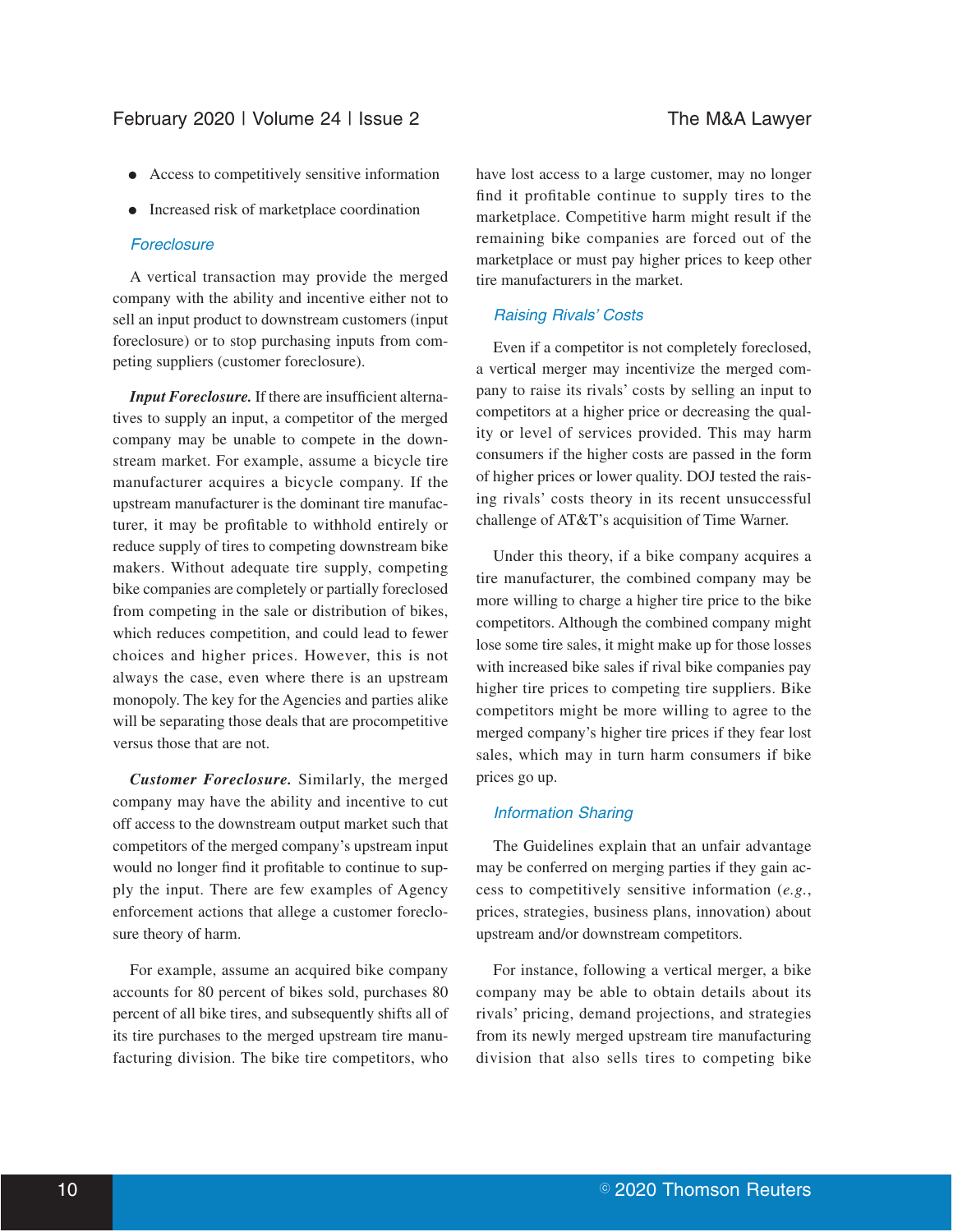- E Access to competitively sensitive information
- Increased risk of marketplace coordination

#### **Foreclosure**

A vertical transaction may provide the merged company with the ability and incentive either not to sell an input product to downstream customers (input foreclosure) or to stop purchasing inputs from competing suppliers (customer foreclosure).

*Input Foreclosure.* If there are insufficient alternatives to supply an input, a competitor of the merged company may be unable to compete in the downstream market. For example, assume a bicycle tire manufacturer acquires a bicycle company. If the upstream manufacturer is the dominant tire manufacturer, it may be profitable to withhold entirely or reduce supply of tires to competing downstream bike makers. Without adequate tire supply, competing bike companies are completely or partially foreclosed from competing in the sale or distribution of bikes, which reduces competition, and could lead to fewer choices and higher prices. However, this is not always the case, even where there is an upstream monopoly. The key for the Agencies and parties alike will be separating those deals that are procompetitive versus those that are not.

*Customer Foreclosure.* Similarly, the merged company may have the ability and incentive to cut off access to the downstream output market such that competitors of the merged company's upstream input would no longer find it profitable to continue to supply the input. There are few examples of Agency enforcement actions that allege a customer foreclosure theory of harm.

For example, assume an acquired bike company accounts for 80 percent of bikes sold, purchases 80 percent of all bike tires, and subsequently shifts all of its tire purchases to the merged upstream tire manufacturing division. The bike tire competitors, who have lost access to a large customer, may no longer find it profitable continue to supply tires to the marketplace. Competitive harm might result if the remaining bike companies are forced out of the marketplace or must pay higher prices to keep other tire manufacturers in the market.

### Raising Rivals' Costs

Even if a competitor is not completely foreclosed, a vertical merger may incentivize the merged company to raise its rivals' costs by selling an input to competitors at a higher price or decreasing the quality or level of services provided. This may harm consumers if the higher costs are passed in the form of higher prices or lower quality. DOJ tested the raising rivals' costs theory in its recent unsuccessful challenge of AT&T's acquisition of Time Warner.

Under this theory, if a bike company acquires a tire manufacturer, the combined company may be more willing to charge a higher tire price to the bike competitors. Although the combined company might lose some tire sales, it might make up for those losses with increased bike sales if rival bike companies pay higher tire prices to competing tire suppliers. Bike competitors might be more willing to agree to the merged company's higher tire prices if they fear lost sales, which may in turn harm consumers if bike prices go up.

#### Information Sharing

The Guidelines explain that an unfair advantage may be conferred on merging parties if they gain access to competitively sensitive information (*e.g.*, prices, strategies, business plans, innovation) about upstream and/or downstream competitors.

For instance, following a vertical merger, a bike company may be able to obtain details about its rivals' pricing, demand projections, and strategies from its newly merged upstream tire manufacturing division that also sells tires to competing bike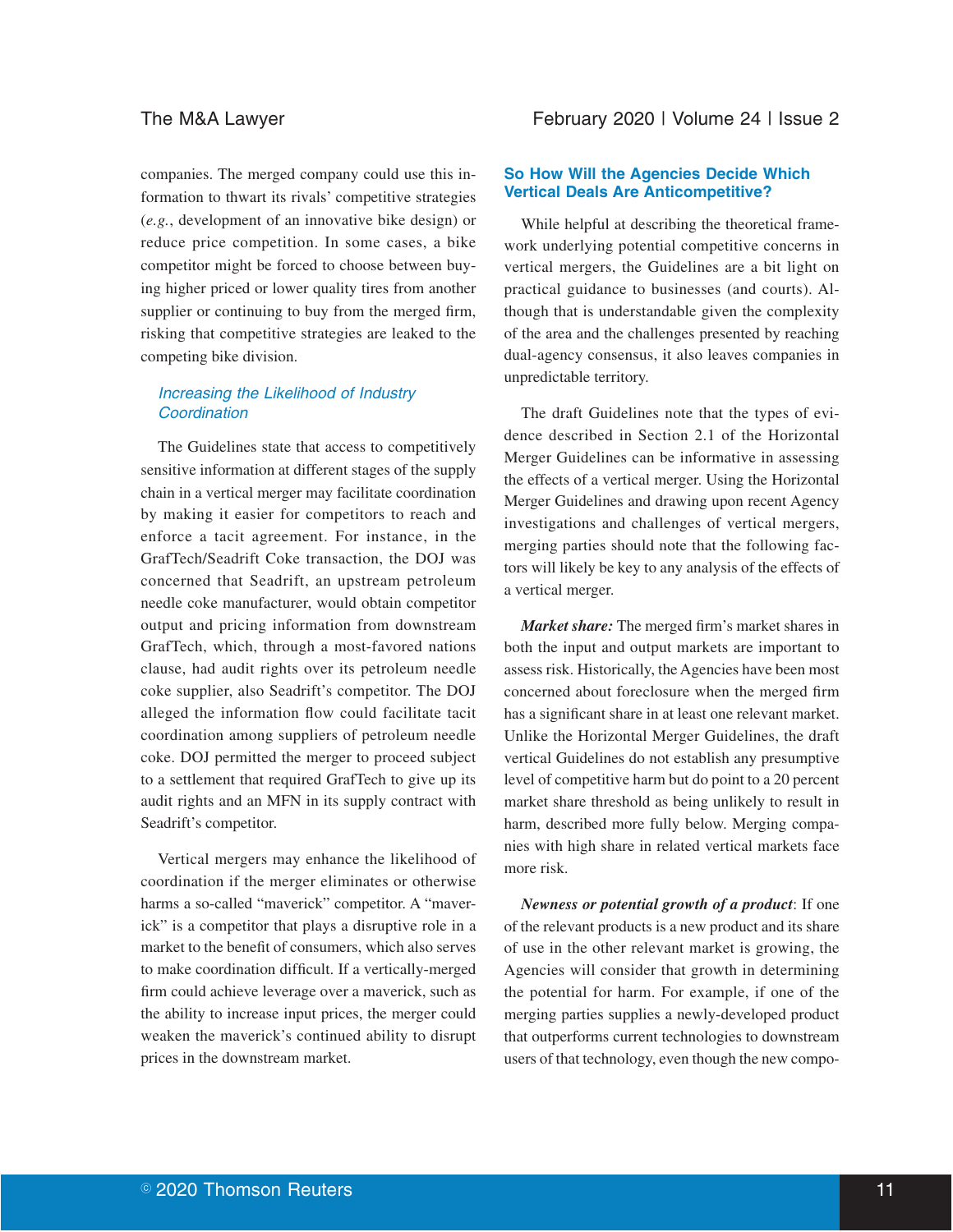companies. The merged company could use this information to thwart its rivals' competitive strategies (*e.g.*, development of an innovative bike design) or reduce price competition. In some cases, a bike competitor might be forced to choose between buying higher priced or lower quality tires from another supplier or continuing to buy from the merged firm, risking that competitive strategies are leaked to the competing bike division.

# Increasing the Likelihood of Industry **Coordination**

The Guidelines state that access to competitively sensitive information at different stages of the supply chain in a vertical merger may facilitate coordination by making it easier for competitors to reach and enforce a tacit agreement. For instance, in the GrafTech/Seadrift Coke transaction, the DOJ was concerned that Seadrift, an upstream petroleum needle coke manufacturer, would obtain competitor output and pricing information from downstream GrafTech, which, through a most-favored nations clause, had audit rights over its petroleum needle coke supplier, also Seadrift's competitor. The DOJ alleged the information flow could facilitate tacit coordination among suppliers of petroleum needle coke. DOJ permitted the merger to proceed subject to a settlement that required GrafTech to give up its audit rights and an MFN in its supply contract with Seadrift's competitor.

Vertical mergers may enhance the likelihood of coordination if the merger eliminates or otherwise harms a so-called "maverick" competitor. A "maverick" is a competitor that plays a disruptive role in a market to the benefit of consumers, which also serves to make coordination difficult. If a vertically-merged firm could achieve leverage over a maverick, such as the ability to increase input prices, the merger could weaken the maverick's continued ability to disrupt prices in the downstream market.

# **So How Will the Agencies Decide Which Vertical Deals Are Anticompetitive?**

While helpful at describing the theoretical framework underlying potential competitive concerns in vertical mergers, the Guidelines are a bit light on practical guidance to businesses (and courts). Although that is understandable given the complexity of the area and the challenges presented by reaching dual-agency consensus, it also leaves companies in unpredictable territory.

The draft Guidelines note that the types of evidence described in Section 2.1 of the Horizontal Merger Guidelines can be informative in assessing the effects of a vertical merger. Using the Horizontal Merger Guidelines and drawing upon recent Agency investigations and challenges of vertical mergers, merging parties should note that the following factors will likely be key to any analysis of the effects of a vertical merger.

*Market share:* The merged firm's market shares in both the input and output markets are important to assess risk. Historically, the Agencies have been most concerned about foreclosure when the merged firm has a significant share in at least one relevant market. Unlike the Horizontal Merger Guidelines, the draft vertical Guidelines do not establish any presumptive level of competitive harm but do point to a 20 percent market share threshold as being unlikely to result in harm, described more fully below. Merging companies with high share in related vertical markets face more risk.

*Newness or potential growth of a product*: If one of the relevant products is a new product and its share of use in the other relevant market is growing, the Agencies will consider that growth in determining the potential for harm. For example, if one of the merging parties supplies a newly-developed product that outperforms current technologies to downstream users of that technology, even though the new compo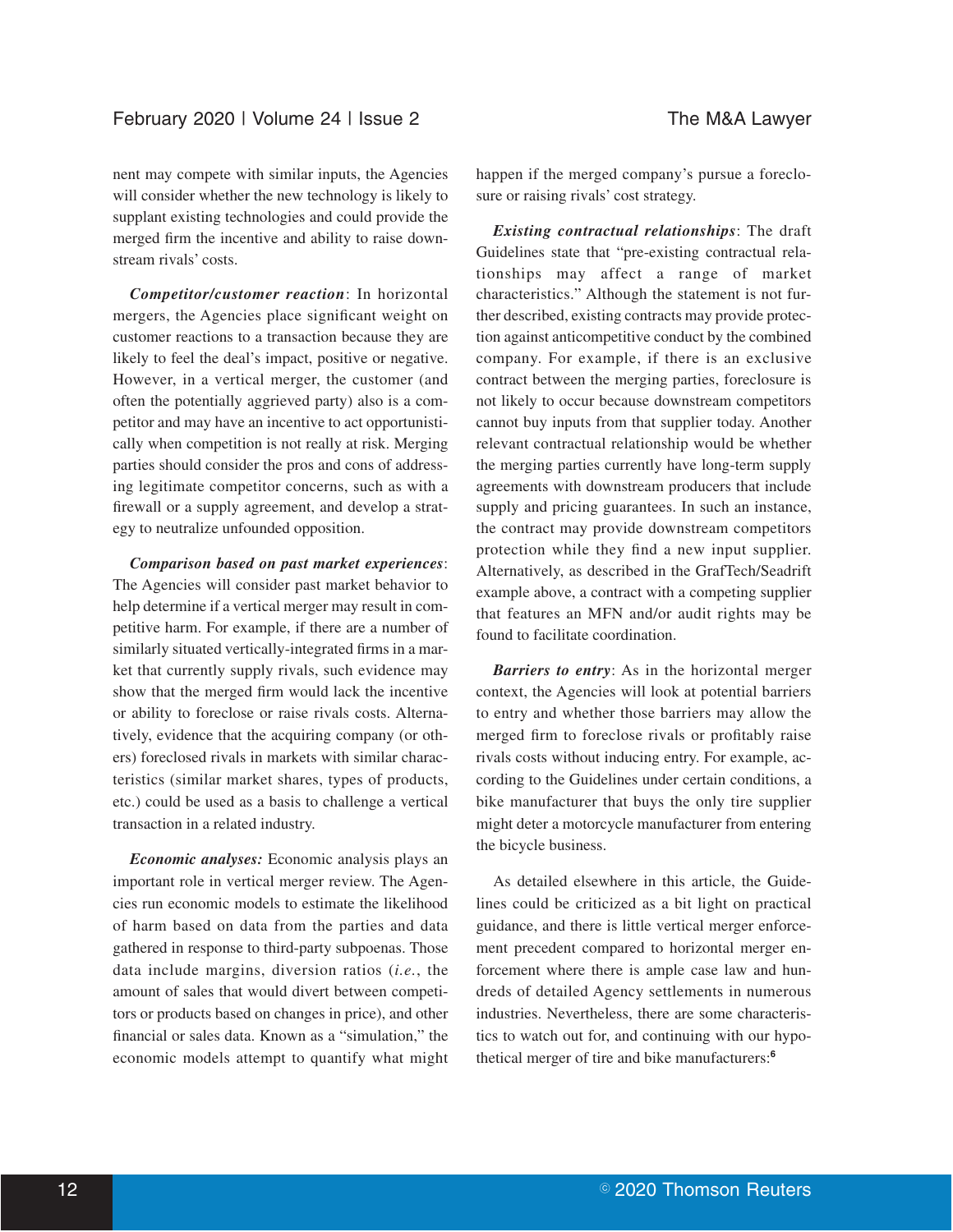nent may compete with similar inputs, the Agencies will consider whether the new technology is likely to supplant existing technologies and could provide the merged firm the incentive and ability to raise downstream rivals' costs.

*Competitor/customer reaction*: In horizontal mergers, the Agencies place significant weight on customer reactions to a transaction because they are likely to feel the deal's impact, positive or negative. However, in a vertical merger, the customer (and often the potentially aggrieved party) also is a competitor and may have an incentive to act opportunistically when competition is not really at risk. Merging parties should consider the pros and cons of addressing legitimate competitor concerns, such as with a firewall or a supply agreement, and develop a strategy to neutralize unfounded opposition.

*Comparison based on past market experiences*: The Agencies will consider past market behavior to help determine if a vertical merger may result in competitive harm. For example, if there are a number of similarly situated vertically-integrated firms in a market that currently supply rivals, such evidence may show that the merged firm would lack the incentive or ability to foreclose or raise rivals costs. Alternatively, evidence that the acquiring company (or others) foreclosed rivals in markets with similar characteristics (similar market shares, types of products, etc.) could be used as a basis to challenge a vertical transaction in a related industry.

*Economic analyses:* Economic analysis plays an important role in vertical merger review. The Agencies run economic models to estimate the likelihood of harm based on data from the parties and data gathered in response to third-party subpoenas. Those data include margins, diversion ratios (*i.e.*, the amount of sales that would divert between competitors or products based on changes in price), and other financial or sales data. Known as a "simulation," the economic models attempt to quantify what might happen if the merged company's pursue a foreclosure or raising rivals' cost strategy.

*Existing contractual relationships*: The draft Guidelines state that "pre-existing contractual relationships may affect a range of market characteristics." Although the statement is not further described, existing contracts may provide protection against anticompetitive conduct by the combined company. For example, if there is an exclusive contract between the merging parties, foreclosure is not likely to occur because downstream competitors cannot buy inputs from that supplier today. Another relevant contractual relationship would be whether the merging parties currently have long-term supply agreements with downstream producers that include supply and pricing guarantees. In such an instance, the contract may provide downstream competitors protection while they find a new input supplier. Alternatively, as described in the GrafTech/Seadrift example above, a contract with a competing supplier that features an MFN and/or audit rights may be found to facilitate coordination.

*Barriers to entry*: As in the horizontal merger context, the Agencies will look at potential barriers to entry and whether those barriers may allow the merged firm to foreclose rivals or profitably raise rivals costs without inducing entry. For example, according to the Guidelines under certain conditions, a bike manufacturer that buys the only tire supplier might deter a motorcycle manufacturer from entering the bicycle business.

As detailed elsewhere in this article, the Guidelines could be criticized as a bit light on practical guidance, and there is little vertical merger enforcement precedent compared to horizontal merger enforcement where there is ample case law and hundreds of detailed Agency settlements in numerous industries. Nevertheless, there are some characteristics to watch out for, and continuing with our hypothetical merger of tire and bike manufacturers:**<sup>6</sup>**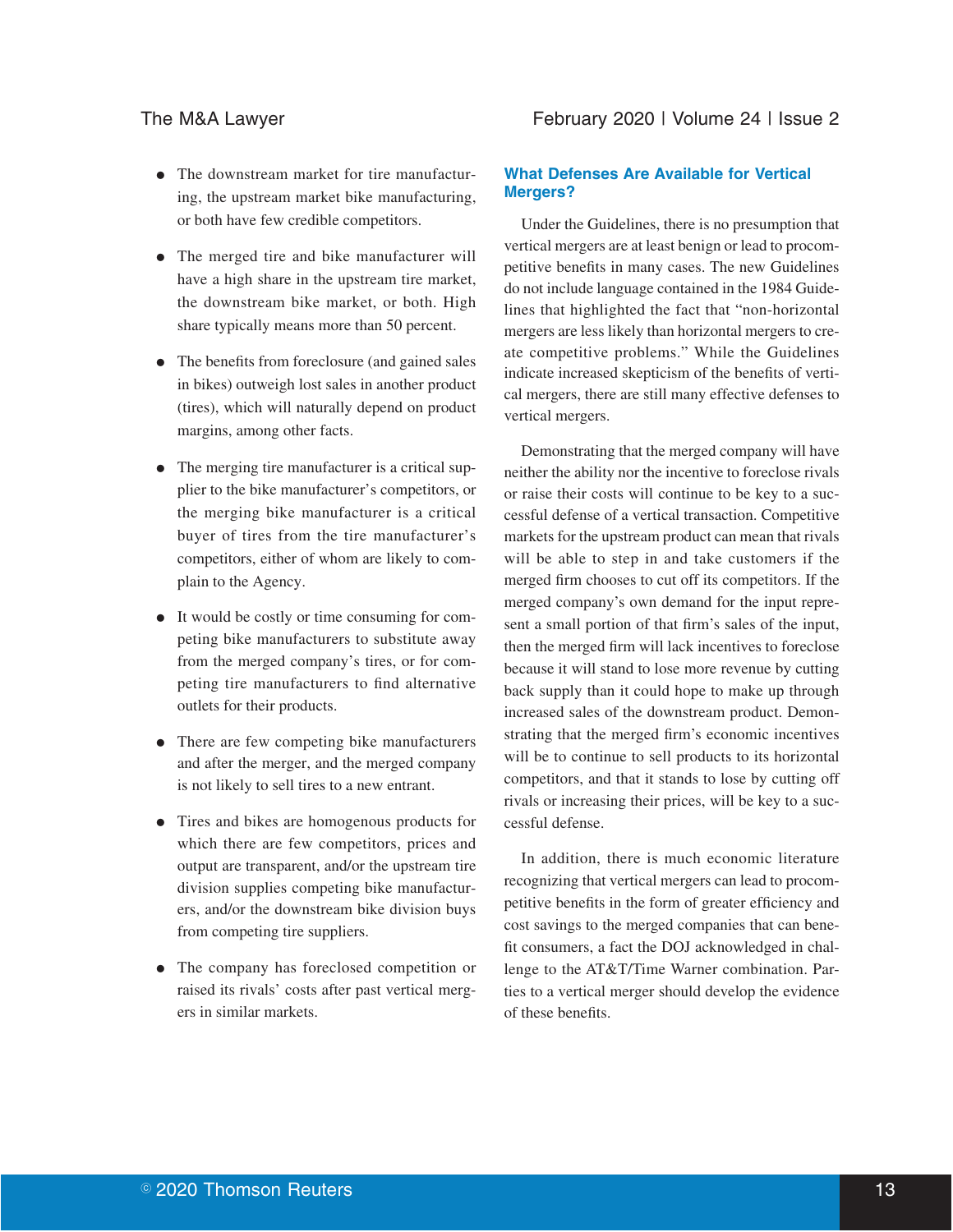- The downstream market for tire manufacturing, the upstream market bike manufacturing, or both have few credible competitors.
- The merged tire and bike manufacturer will have a high share in the upstream tire market, the downstream bike market, or both. High share typically means more than 50 percent.
- The benefits from foreclosure (and gained sales in bikes) outweigh lost sales in another product (tires), which will naturally depend on product margins, among other facts.
- The merging tire manufacturer is a critical supplier to the bike manufacturer's competitors, or the merging bike manufacturer is a critical buyer of tires from the tire manufacturer's competitors, either of whom are likely to complain to the Agency.
- It would be costly or time consuming for competing bike manufacturers to substitute away from the merged company's tires, or for competing tire manufacturers to find alternative outlets for their products.
- There are few competing bike manufacturers and after the merger, and the merged company is not likely to sell tires to a new entrant.
- Tires and bikes are homogenous products for which there are few competitors, prices and output are transparent, and/or the upstream tire division supplies competing bike manufacturers, and/or the downstream bike division buys from competing tire suppliers.
- The company has foreclosed competition or raised its rivals' costs after past vertical mergers in similar markets.

# **What Defenses Are Available for Vertical Mergers?**

Under the Guidelines, there is no presumption that vertical mergers are at least benign or lead to procompetitive benefits in many cases. The new Guidelines do not include language contained in the 1984 Guidelines that highlighted the fact that "non-horizontal mergers are less likely than horizontal mergers to create competitive problems." While the Guidelines indicate increased skepticism of the benefits of vertical mergers, there are still many effective defenses to vertical mergers.

Demonstrating that the merged company will have neither the ability nor the incentive to foreclose rivals or raise their costs will continue to be key to a successful defense of a vertical transaction. Competitive markets for the upstream product can mean that rivals will be able to step in and take customers if the merged firm chooses to cut off its competitors. If the merged company's own demand for the input represent a small portion of that firm's sales of the input, then the merged firm will lack incentives to foreclose because it will stand to lose more revenue by cutting back supply than it could hope to make up through increased sales of the downstream product. Demonstrating that the merged firm's economic incentives will be to continue to sell products to its horizontal competitors, and that it stands to lose by cutting off rivals or increasing their prices, will be key to a successful defense.

In addition, there is much economic literature recognizing that vertical mergers can lead to procompetitive benefits in the form of greater efficiency and cost savings to the merged companies that can benefit consumers, a fact the DOJ acknowledged in challenge to the AT&T/Time Warner combination. Parties to a vertical merger should develop the evidence of these benefits.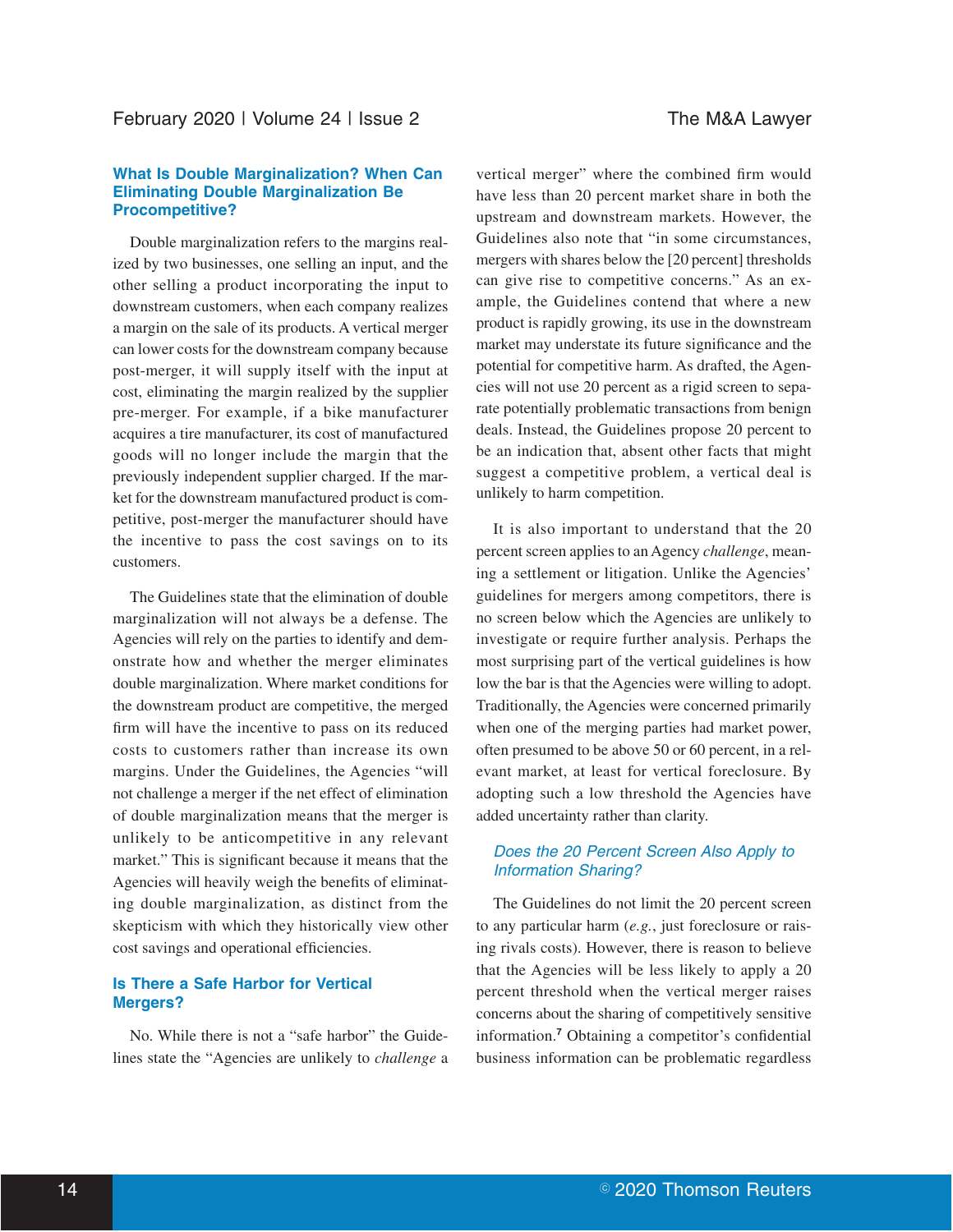### **What Is Double Marginalization? When Can Eliminating Double Marginalization Be Procompetitive?**

Double marginalization refers to the margins realized by two businesses, one selling an input, and the other selling a product incorporating the input to downstream customers, when each company realizes a margin on the sale of its products. A vertical merger can lower costs for the downstream company because post-merger, it will supply itself with the input at cost, eliminating the margin realized by the supplier pre-merger. For example, if a bike manufacturer acquires a tire manufacturer, its cost of manufactured goods will no longer include the margin that the previously independent supplier charged. If the market for the downstream manufactured product is competitive, post-merger the manufacturer should have the incentive to pass the cost savings on to its customers.

The Guidelines state that the elimination of double marginalization will not always be a defense. The Agencies will rely on the parties to identify and demonstrate how and whether the merger eliminates double marginalization. Where market conditions for the downstream product are competitive, the merged firm will have the incentive to pass on its reduced costs to customers rather than increase its own margins. Under the Guidelines, the Agencies "will not challenge a merger if the net effect of elimination of double marginalization means that the merger is unlikely to be anticompetitive in any relevant market." This is significant because it means that the Agencies will heavily weigh the benefits of eliminating double marginalization, as distinct from the skepticism with which they historically view other cost savings and operational efficiencies.

### **Is There a Safe Harbor for Vertical Mergers?**

No. While there is not a "safe harbor" the Guidelines state the "Agencies are unlikely to *challenge* a

vertical merger" where the combined firm would have less than 20 percent market share in both the upstream and downstream markets. However, the Guidelines also note that "in some circumstances, mergers with shares below the [20 percent] thresholds can give rise to competitive concerns." As an example, the Guidelines contend that where a new product is rapidly growing, its use in the downstream market may understate its future significance and the potential for competitive harm. As drafted, the Agencies will not use 20 percent as a rigid screen to separate potentially problematic transactions from benign deals. Instead, the Guidelines propose 20 percent to be an indication that, absent other facts that might suggest a competitive problem, a vertical deal is unlikely to harm competition.

It is also important to understand that the 20 percent screen applies to an Agency *challenge*, meaning a settlement or litigation. Unlike the Agencies' guidelines for mergers among competitors, there is no screen below which the Agencies are unlikely to investigate or require further analysis. Perhaps the most surprising part of the vertical guidelines is how low the bar is that the Agencies were willing to adopt. Traditionally, the Agencies were concerned primarily when one of the merging parties had market power, often presumed to be above 50 or 60 percent, in a relevant market, at least for vertical foreclosure. By adopting such a low threshold the Agencies have added uncertainty rather than clarity.

# Does the 20 Percent Screen Also Apply to Information Sharing?

The Guidelines do not limit the 20 percent screen to any particular harm (*e.g.*, just foreclosure or raising rivals costs). However, there is reason to believe that the Agencies will be less likely to apply a 20 percent threshold when the vertical merger raises concerns about the sharing of competitively sensitive information.**<sup>7</sup>** Obtaining a competitor's confidential business information can be problematic regardless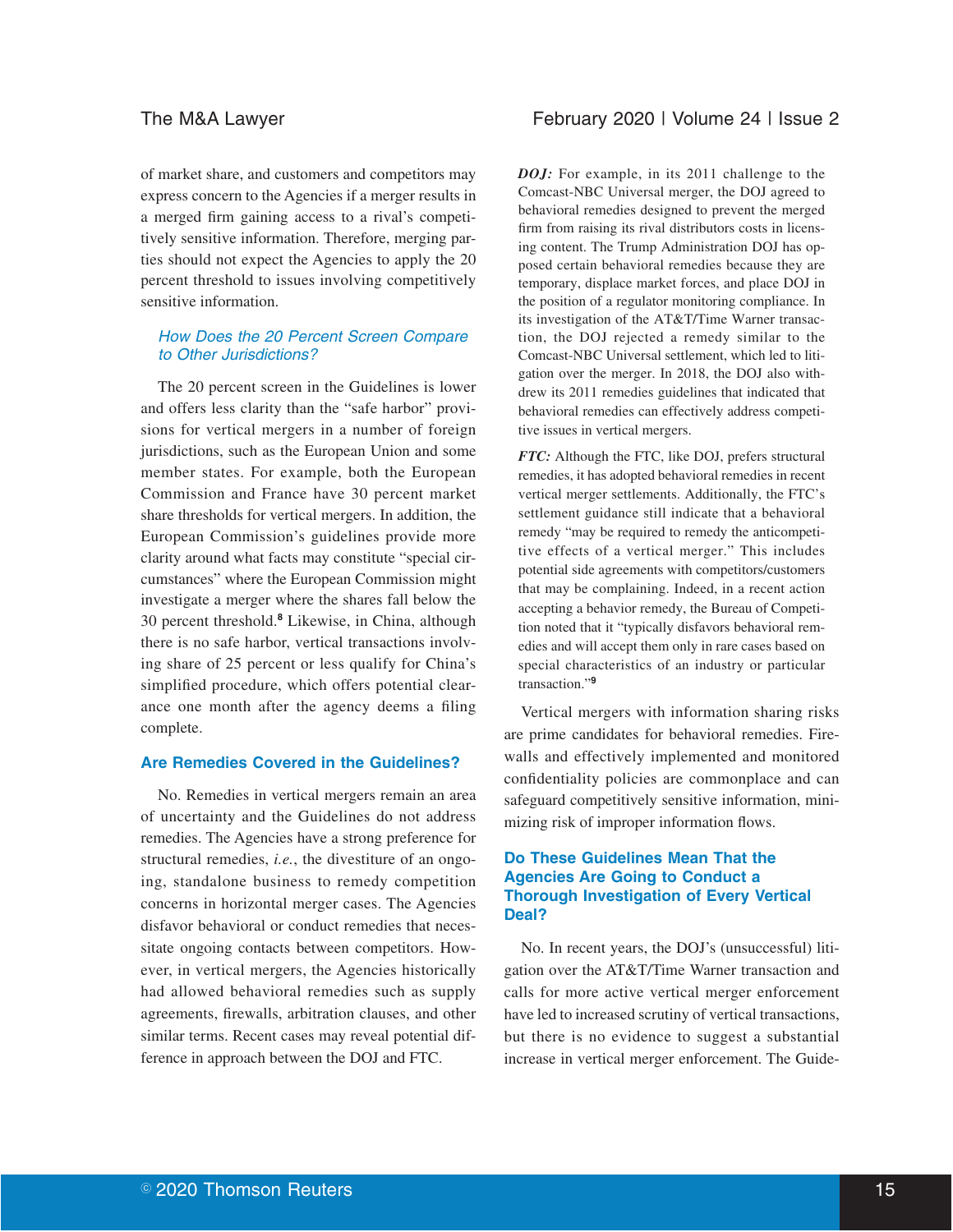of market share, and customers and competitors may express concern to the Agencies if a merger results in a merged firm gaining access to a rival's competitively sensitive information. Therefore, merging parties should not expect the Agencies to apply the 20 percent threshold to issues involving competitively sensitive information.

# How Does the 20 Percent Screen Compare to Other Jurisdictions?

The 20 percent screen in the Guidelines is lower and offers less clarity than the "safe harbor" provisions for vertical mergers in a number of foreign jurisdictions, such as the European Union and some member states. For example, both the European Commission and France have 30 percent market share thresholds for vertical mergers. In addition, the European Commission's guidelines provide more clarity around what facts may constitute "special circumstances" where the European Commission might investigate a merger where the shares fall below the 30 percent threshold.**<sup>8</sup>** Likewise, in China, although there is no safe harbor, vertical transactions involving share of 25 percent or less qualify for China's simplified procedure, which offers potential clearance one month after the agency deems a filing complete.

# **Are Remedies Covered in the Guidelines?**

No. Remedies in vertical mergers remain an area of uncertainty and the Guidelines do not address remedies. The Agencies have a strong preference for structural remedies, *i.e.*, the divestiture of an ongoing, standalone business to remedy competition concerns in horizontal merger cases. The Agencies disfavor behavioral or conduct remedies that necessitate ongoing contacts between competitors. However, in vertical mergers, the Agencies historically had allowed behavioral remedies such as supply agreements, firewalls, arbitration clauses, and other similar terms. Recent cases may reveal potential difference in approach between the DOJ and FTC.

# The M&A Lawyer The M&A Lawyer February 2020 | Volume 24 | Issue 2

*DOJ:* For example, in its 2011 challenge to the Comcast-NBC Universal merger, the DOJ agreed to behavioral remedies designed to prevent the merged firm from raising its rival distributors costs in licensing content. The Trump Administration DOJ has opposed certain behavioral remedies because they are temporary, displace market forces, and place DOJ in the position of a regulator monitoring compliance. In its investigation of the AT&T/Time Warner transaction, the DOJ rejected a remedy similar to the Comcast-NBC Universal settlement, which led to litigation over the merger. In 2018, the DOJ also withdrew its 2011 remedies guidelines that indicated that behavioral remedies can effectively address competitive issues in vertical mergers.

*FTC:* Although the FTC, like DOJ, prefers structural remedies, it has adopted behavioral remedies in recent vertical merger settlements. Additionally, the FTC's settlement guidance still indicate that a behavioral remedy "may be required to remedy the anticompetitive effects of a vertical merger." This includes potential side agreements with competitors/customers that may be complaining. Indeed, in a recent action accepting a behavior remedy, the Bureau of Competition noted that it "typically disfavors behavioral remedies and will accept them only in rare cases based on special characteristics of an industry or particular transaction."**<sup>9</sup>**

Vertical mergers with information sharing risks are prime candidates for behavioral remedies. Firewalls and effectively implemented and monitored confidentiality policies are commonplace and can safeguard competitively sensitive information, minimizing risk of improper information flows.

# **Do These Guidelines Mean That the Agencies Are Going to Conduct a Thorough Investigation of Every Vertical Deal?**

No. In recent years, the DOJ's (unsuccessful) litigation over the AT&T/Time Warner transaction and calls for more active vertical merger enforcement have led to increased scrutiny of vertical transactions, but there is no evidence to suggest a substantial increase in vertical merger enforcement. The Guide